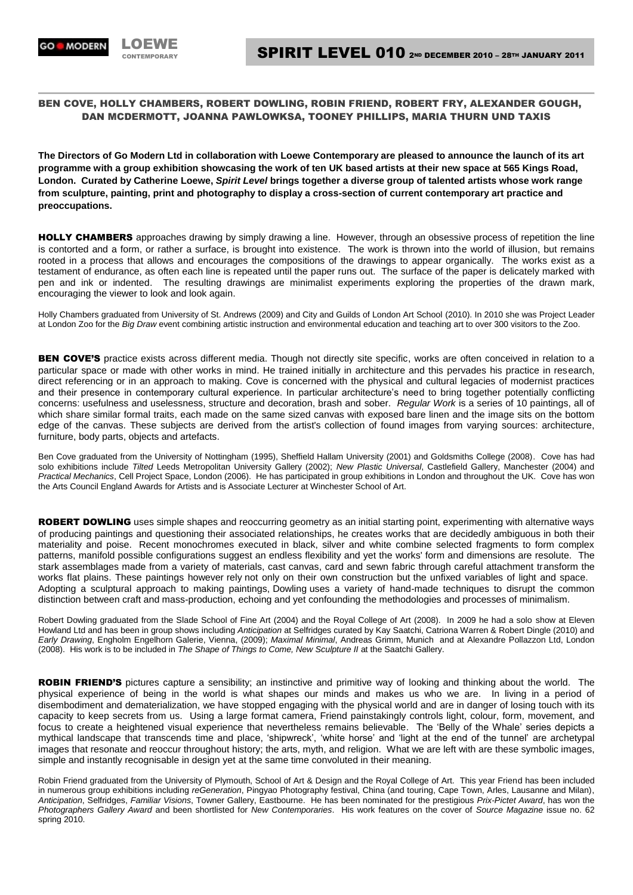## BEN COVE, HOLLY CHAMBERS, ROBERT DOWLING, ROBIN FRIEND, ROBERT FRY, ALEXANDER GOUGH, DAN MCDERMOTT, JOANNA PAWLOWKSA, TOONEY PHILLIPS, MARIA THURN UND TAXIS

**The Directors of Go Modern Ltd in collaboration with Loewe Contemporary are pleased to announce the launch of its art programme with a group exhibition showcasing the work of ten UK based artists at their new space at 565 Kings Road, London. Curated by Catherine Loewe,** *Spirit Level* **brings together a diverse group of talented artists whose work range from sculpture, painting, print and photography to display a cross-section of current contemporary art practice and preoccupations.**

HOLLY CHAMBERS approaches drawing by simply drawing a line. However, through an obsessive process of repetition the line is contorted and a form, or rather a surface, is brought into existence. The work is thrown into the world of illusion, but remains rooted in a process that allows and encourages the compositions of the drawings to appear organically. The works exist as a testament of endurance, as often each line is repeated until the paper runs out. The surface of the paper is delicately marked with pen and ink or indented. The resulting drawings are minimalist experiments exploring the properties of the drawn mark, encouraging the viewer to look and look again.

Holly Chambers graduated from University of St. Andrews (2009) and City and Guilds of London Art School (2010). In 2010 she was Project Leader at London Zoo for the *Big Draw* event combining artistic instruction and environmental education and teaching art to over 300 visitors to the Zoo.

BEN COVE'S practice exists across different media. Though not directly site specific, works are often conceived in relation to a particular space or made with other works in mind. He trained initially in architecture and this pervades his practice in research, direct referencing or in an approach to making. Cove is concerned with the physical and cultural legacies of modernist practices and their presence in contemporary cultural experience. In particular architecture's need to bring together potentially conflicting concerns: usefulness and uselessness, structure and decoration, brash and sober. *Regular Work* is a series of 10 paintings, all of which share similar formal traits, each made on the same sized canvas with exposed bare linen and the image sits on the bottom edge of the canvas. These subjects are derived from the artist's collection of found images from varying sources: architecture, furniture, body parts, objects and artefacts.

Ben Cove graduated from the University of Nottingham (1995), Sheffield Hallam University (2001) and Goldsmiths College (2008). Cove has had solo exhibitions include *Tilted* Leeds Metropolitan University Gallery (2002); *New Plastic Universal*, Castlefield Gallery, Manchester (2004) and *Practical Mechanics*, Cell Project Space, London (2006). He has participated in group exhibitions in London and throughout the UK. Cove has won the Arts Council England Awards for Artists and is Associate Lecturer at Winchester School of Art.

ROBERT DOWLING uses simple shapes and reoccurring geometry as an initial starting point, experimenting with alternative ways of producing paintings and questioning their associated relationships, he creates works that are decidedly ambiguous in both their materiality and poise. Recent monochromes executed in black, silver and white combine selected fragments to form complex patterns, manifold possible configurations suggest an endless flexibility and yet the works' form and dimensions are resolute. The stark assemblages made from a variety of materials, cast canvas, card and sewn fabric through careful attachment transform the works flat plains. These paintings however rely not only on their own construction but the unfixed variables of light and space. Adopting a sculptural approach to making paintings, Dowling uses a variety of hand-made techniques to disrupt the common distinction between craft and mass-production, echoing and yet confounding the methodologies and processes of minimalism.

Robert Dowling graduated from the Slade School of Fine Art (2004) and the Royal College of Art (2008). In 2009 he had a solo show at Eleven Howland Ltd and has been in group shows including *Anticipation* at Selfridges curated by Kay Saatchi, Catriona Warren & Robert Dingle (2010) and *Early Drawing*, Engholm Engelhorn Galerie, Vienna, (2009); *Maximal Minimal*, Andreas Grimm, Munich and at Alexandre Pollazzon Ltd, London (2008). His work is to be included in *The Shape of Things to Come, New Sculpture II* at the Saatchi Gallery.

ROBIN FRIEND'S pictures capture a sensibility; an instinctive and primitive way of looking and thinking about the world. The physical experience of being in the world is what shapes our minds and makes us who we are. In living in a period of disembodiment and dematerialization, we have stopped engaging with the physical world and are in danger of losing touch with its capacity to keep secrets from us. Using a large format camera, Friend painstakingly controls light, colour, form, movement, and focus to create a heightened visual experience that nevertheless remains believable. The 'Belly of the Whale' series depicts a mythical landscape that transcends time and place, 'shipwreck', 'white horse' and 'light at the end of the tunnel' are archetypal images that resonate and reoccur throughout history; the arts, myth, and religion. What we are left with are these symbolic images, simple and instantly recognisable in design yet at the same time convoluted in their meaning.

Robin Friend graduated from the University of Plymouth, School of Art & Design and the Royal College of Art. This year Friend has been included in numerous group exhibitions including *reGeneration*, Pingyao Photography festival, China (and touring, Cape Town, Arles, Lausanne and Milan), *Anticipation*, Selfridges, *Familiar Visions*, Towner Gallery, Eastbourne. He has been nominated for the prestigious *Prix-Pictet Award*, has won the *Photographers Gallery Award* and been shortlisted for *New Contemporaries*. His work features on the cover of *Source Magazine* issue no. 62 spring 2010.